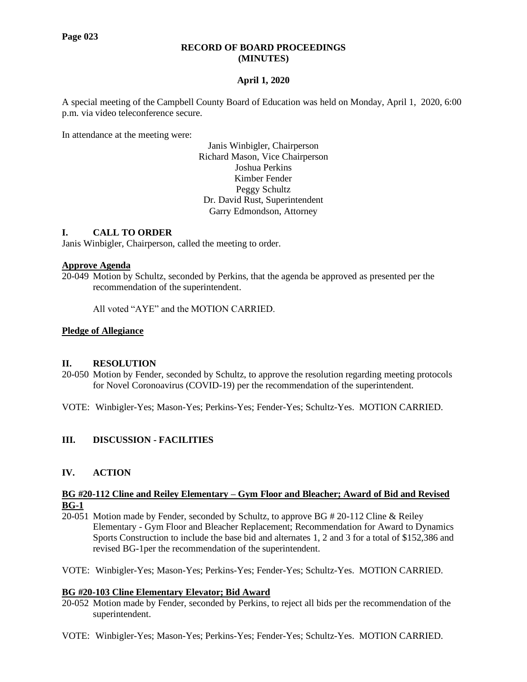#### **RECORD OF BOARD PROCEEDINGS (MINUTES)**

## **April 1, 2020**

A special meeting of the Campbell County Board of Education was held on Monday, April 1, 2020, 6:00 p.m. via video teleconference secure.

In attendance at the meeting were:

Janis Winbigler, Chairperson Richard Mason, Vice Chairperson Joshua Perkins Kimber Fender Peggy Schultz Dr. David Rust, Superintendent Garry Edmondson, Attorney

## **I. CALL TO ORDER**

Janis Winbigler, Chairperson, called the meeting to order.

#### **Approve Agenda**

20-049 Motion by Schultz, seconded by Perkins, that the agenda be approved as presented per the recommendation of the superintendent.

All voted "AYE" and the MOTION CARRIED.

#### **Pledge of Allegiance**

#### **II. RESOLUTION**

- 20-050 Motion by Fender, seconded by Schultz, to approve the resolution regarding meeting protocols for Novel Coronoavirus (COVID-19) per the recommendation of the superintendent.
- VOTE: Winbigler-Yes; Mason-Yes; Perkins-Yes; Fender-Yes; Schultz-Yes. MOTION CARRIED.

## **III. DISCUSSION - FACILITIES**

## **IV. ACTION**

#### **BG #20-112 Cline and Reiley Elementary – Gym Floor and Bleacher; Award of Bid and Revised BG-1**

- 20-051 Motion made by Fender, seconded by Schultz, to approve BG # 20-112 Cline & Reiley Elementary - Gym Floor and Bleacher Replacement; Recommendation for Award to Dynamics Sports Construction to include the base bid and alternates 1, 2 and 3 for a total of \$152,386 and revised BG-1per the recommendation of the superintendent.
- VOTE: Winbigler-Yes; Mason-Yes; Perkins-Yes; Fender-Yes; Schultz-Yes. MOTION CARRIED.

## **BG #20-103 Cline Elementary Elevator; Bid Award**

- 20-052 Motion made by Fender, seconded by Perkins, to reject all bids per the recommendation of the superintendent.
- VOTE: Winbigler-Yes; Mason-Yes; Perkins-Yes; Fender-Yes; Schultz-Yes. MOTION CARRIED.